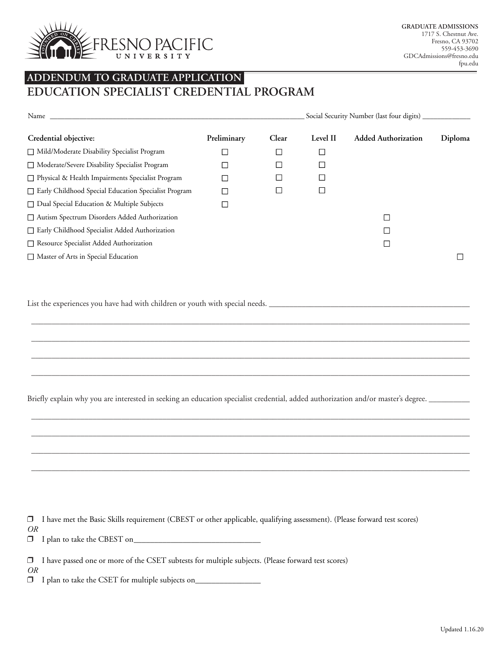

## **ADDENDUM TO GRADUATE APPLICATION**

**EDUCATION SPECIALIST CREDENTIAL PROGRAM**

| Name                                                        | Social Security Number (last four digits) _ |        |          |                            |         |  |
|-------------------------------------------------------------|---------------------------------------------|--------|----------|----------------------------|---------|--|
| Credential objective:                                       | Preliminary                                 | Clear  | Level II | <b>Added Authorization</b> | Diploma |  |
| Mild/Moderate Disability Specialist Program                 | $\Box$                                      | $\Box$ | ⊑        |                            |         |  |
| $\Box$ Moderate/Severe Disability Specialist Program        | $\Box$                                      | $\Box$ |          |                            |         |  |
| □ Physical & Health Impairments Specialist Program          | $\Box$                                      | $\Box$ |          |                            |         |  |
| $\Box$ Early Childhood Special Education Specialist Program | П                                           | $\Box$ |          |                            |         |  |
| $\Box$ Dual Special Education & Multiple Subjects           | $\overline{\phantom{a}}$                    |        |          |                            |         |  |
| □ Autism Spectrum Disorders Added Authorization             |                                             |        |          | П                          |         |  |
| $\Box$ Early Childhood Specialist Added Authorization       |                                             |        |          | L                          |         |  |
| $\Box$ Resource Specialist Added Authorization              |                                             |        |          | $\Box$                     |         |  |
| Master of Arts in Special Education                         |                                             |        |          |                            |         |  |

\_\_\_\_\_\_\_\_\_\_\_\_\_\_\_\_\_\_\_\_\_\_\_\_\_\_\_\_\_\_\_\_\_\_\_\_\_\_\_\_\_\_\_\_\_\_\_\_\_\_\_\_\_\_\_\_\_\_\_\_\_\_\_\_\_\_\_\_\_\_\_\_\_\_\_\_\_\_\_\_\_\_\_\_\_\_\_\_\_\_\_\_\_\_\_\_\_\_\_\_\_\_\_\_\_\_\_

\_\_\_\_\_\_\_\_\_\_\_\_\_\_\_\_\_\_\_\_\_\_\_\_\_\_\_\_\_\_\_\_\_\_\_\_\_\_\_\_\_\_\_\_\_\_\_\_\_\_\_\_\_\_\_\_\_\_\_\_\_\_\_\_\_\_\_\_\_\_\_\_\_\_\_\_\_\_\_\_\_\_\_\_\_\_\_\_\_\_\_\_\_\_\_\_\_\_\_\_\_\_\_\_\_\_\_

\_\_\_\_\_\_\_\_\_\_\_\_\_\_\_\_\_\_\_\_\_\_\_\_\_\_\_\_\_\_\_\_\_\_\_\_\_\_\_\_\_\_\_\_\_\_\_\_\_\_\_\_\_\_\_\_\_\_\_\_\_\_\_\_\_\_\_\_\_\_\_\_\_\_\_\_\_\_\_\_\_\_\_\_\_\_\_\_\_\_\_\_\_\_\_\_\_\_\_\_\_\_\_\_\_\_\_

\_\_\_\_\_\_\_\_\_\_\_\_\_\_\_\_\_\_\_\_\_\_\_\_\_\_\_\_\_\_\_\_\_\_\_\_\_\_\_\_\_\_\_\_\_\_\_\_\_\_\_\_\_\_\_\_\_\_\_\_\_\_\_\_\_\_\_\_\_\_\_\_\_\_\_\_\_\_\_\_\_\_\_\_\_\_\_\_\_\_\_\_\_\_\_\_\_\_\_\_\_\_\_\_\_\_\_

\_\_\_\_\_\_\_\_\_\_\_\_\_\_\_\_\_\_\_\_\_\_\_\_\_\_\_\_\_\_\_\_\_\_\_\_\_\_\_\_\_\_\_\_\_\_\_\_\_\_\_\_\_\_\_\_\_\_\_\_\_\_\_\_\_\_\_\_\_\_\_\_\_\_\_\_\_\_\_\_\_\_\_\_\_\_\_\_\_\_\_\_\_\_\_\_\_\_\_\_\_\_\_\_\_\_\_

\_\_\_\_\_\_\_\_\_\_\_\_\_\_\_\_\_\_\_\_\_\_\_\_\_\_\_\_\_\_\_\_\_\_\_\_\_\_\_\_\_\_\_\_\_\_\_\_\_\_\_\_\_\_\_\_\_\_\_\_\_\_\_\_\_\_\_\_\_\_\_\_\_\_\_\_\_\_\_\_\_\_\_\_\_\_\_\_\_\_\_\_\_\_\_\_\_\_\_\_\_\_\_\_\_\_\_

\_\_\_\_\_\_\_\_\_\_\_\_\_\_\_\_\_\_\_\_\_\_\_\_\_\_\_\_\_\_\_\_\_\_\_\_\_\_\_\_\_\_\_\_\_\_\_\_\_\_\_\_\_\_\_\_\_\_\_\_\_\_\_\_\_\_\_\_\_\_\_\_\_\_\_\_\_\_\_\_\_\_\_\_\_\_\_\_\_\_\_\_\_\_\_\_\_\_\_\_\_\_\_\_\_\_\_

\_\_\_\_\_\_\_\_\_\_\_\_\_\_\_\_\_\_\_\_\_\_\_\_\_\_\_\_\_\_\_\_\_\_\_\_\_\_\_\_\_\_\_\_\_\_\_\_\_\_\_\_\_\_\_\_\_\_\_\_\_\_\_\_\_\_\_\_\_\_\_\_\_\_\_\_\_\_\_\_\_\_\_\_\_\_\_\_\_\_\_\_\_\_\_\_\_\_\_\_\_\_\_\_\_\_\_

List the experiences you have had with children or youth with special needs. \_\_\_\_\_\_\_\_\_\_\_\_\_\_\_\_\_\_\_\_\_\_\_\_\_\_\_\_\_\_\_\_\_

Briefly explain why you are interested in seeking an education specialist credential, added authorization and/or master's degree. \_\_\_\_\_\_\_\_\_

 I have met the Basic Skills requirement (CBEST or other applicable, qualifying assessment). (Please forward test scores) *OR*

I plan to take the CBEST on\_\_\_\_\_\_\_\_\_\_\_\_\_\_\_\_\_\_\_\_\_\_\_\_\_\_\_\_\_\_\_

I have passed one or more of the CSET subtests for multiple subjects. (Please forward test scores)

*OR*

I plan to take the CSET for multiple subjects on\_\_\_\_\_\_\_\_\_\_\_\_\_\_\_\_